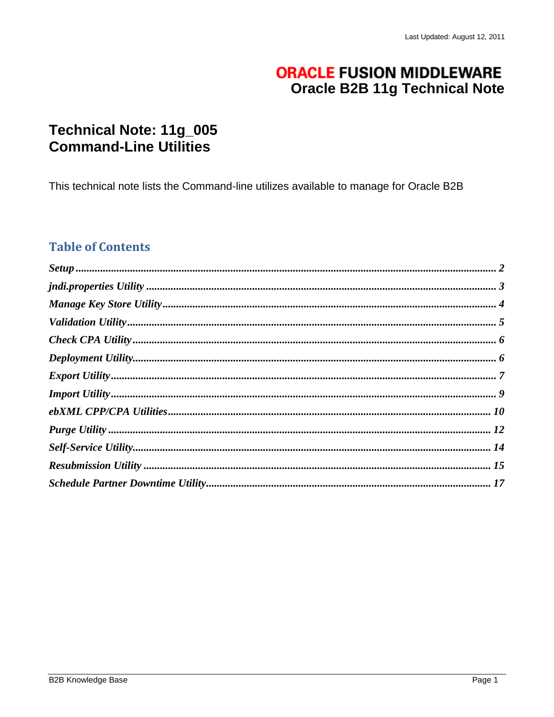# **ORACLE FUSION MIDDLEWARE Oracle B2B 11g Technical Note**

# Technical Note: 11g\_005 **Command-Line Utilities**

This technical note lists the Command-line utilizes available to manage for Oracle B2B

## **Table of Contents**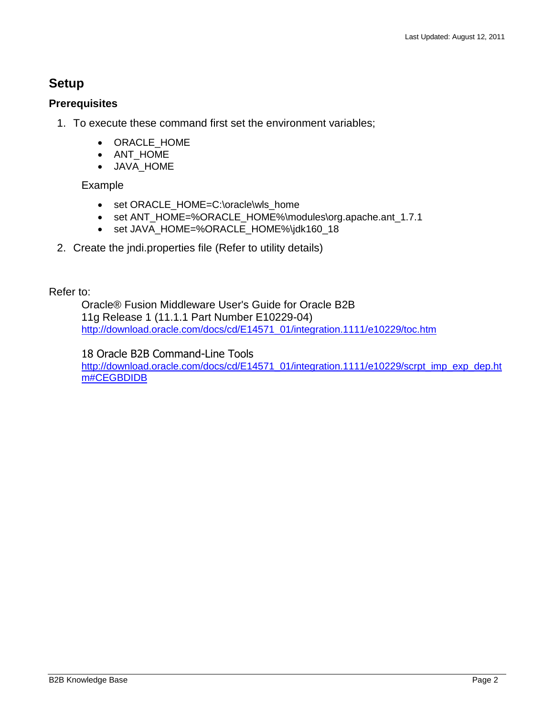## <span id="page-1-0"></span>**Setup**

## **Prerequisites**

- 1. To execute these command first set the environment variables;
	- ORACLE HOME
	- ANT\_HOME
	- JAVA\_HOME

## Example

- set ORACLE\_HOME=C:\oracle\wls\_home
- set ANT\_HOME=%ORACLE\_HOME%\modules\org.apache.ant\_1.7.1
- set JAVA\_HOME=%ORACLE\_HOME%\jdk160\_18
- 2. Create the jndi.properties file (Refer to utility details)

Refer to:

Oracle® Fusion Middleware User's Guide for Oracle B2B 11g Release 1 (11.1.1 Part Number E10229-04) [http://download.oracle.com/docs/cd/E14571\\_01/integration.1111/e10229/toc.htm](http://download.oracle.com/docs/cd/E14571_01/integration.1111/e10229/toc.htm)

18 Oracle B2B Command-Line Tools [http://download.oracle.com/docs/cd/E14571\\_01/integration.1111/e10229/scrpt\\_imp\\_exp\\_dep.ht](http://download.oracle.com/docs/cd/E14571_01/integration.1111/e10229/scrpt_imp_exp_dep.htm#CEGBDIDB) [m#CEGBDIDB](http://download.oracle.com/docs/cd/E14571_01/integration.1111/e10229/scrpt_imp_exp_dep.htm#CEGBDIDB)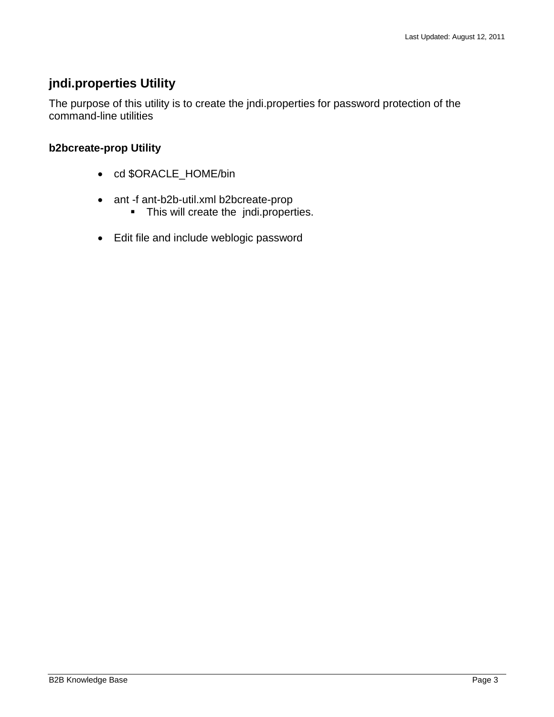## <span id="page-2-0"></span>**jndi.properties Utility**

The purpose of this utility is to create the jndi.properties for password protection of the command-line utilities

## **b2bcreate-prop Utility**

- cd \$ORACLE\_HOME/bin
- ant -f ant-b2b-util.xml b2bcreate-prop
	- **This will create the jndi.properties.**
- Edit file and include weblogic password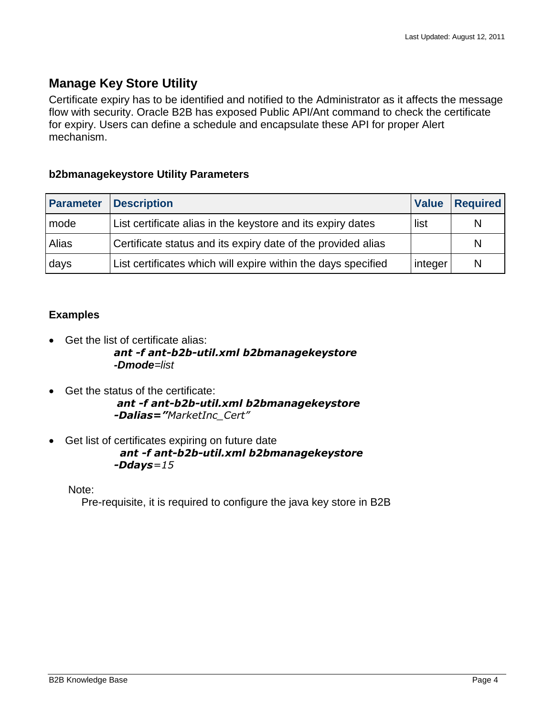## <span id="page-3-0"></span>**Manage Key Store Utility**

Certificate expiry has to be identified and notified to the Administrator as it affects the message flow with security. Oracle B2B has exposed Public API/Ant command to check the certificate for expiry. Users can define a schedule and encapsulate these API for proper Alert mechanism.

## **b2bmanagekeystore Utility Parameters**

| <b>Parameter</b> | <b>Description</b>                                            | <b>Value</b> | <b>Required</b> |
|------------------|---------------------------------------------------------------|--------------|-----------------|
| mode             | List certificate alias in the keystore and its expiry dates   | list         | N               |
| Alias            | Certificate status and its expiry date of the provided alias  |              | N               |
| days             | List certificates which will expire within the days specified | integer      | N               |

## **Examples**

• Get the list of certificate alias:

### *ant -f ant-b2b-util.xml b2bmanagekeystore -Dmode=list*

- Get the status of the certificate: *ant -f ant-b2b-util.xml b2bmanagekeystore -Dalias="MarketInc\_Cert"*
- Get list of certificates expiring on future date

 *ant -f ant-b2b-util.xml b2bmanagekeystore -Ddays=15*

Note:

Pre-requisite, it is required to configure the java key store in B2B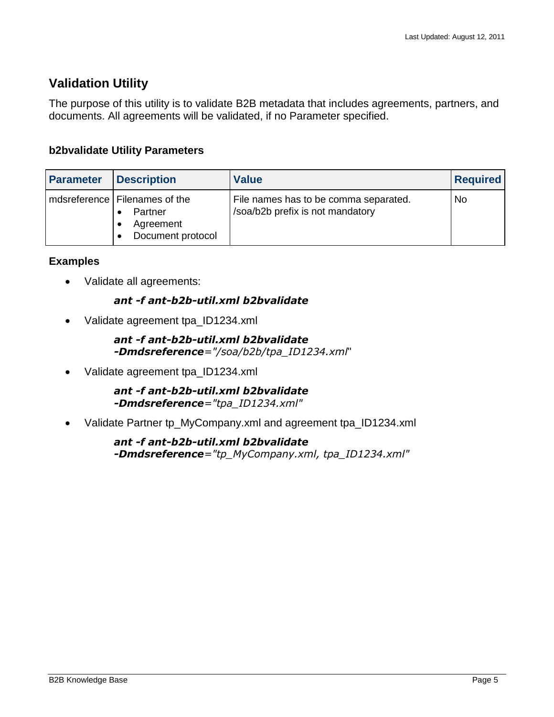## <span id="page-4-0"></span>**Validation Utility**

The purpose of this utility is to validate B2B metadata that includes agreements, partners, and documents. All agreements will be validated, if no Parameter specified.

## **b2bvalidate Utility Parameters**

| Parameter | <b>Description</b>                                                           | <b>Value</b>                                                              | <b>Required</b> |
|-----------|------------------------------------------------------------------------------|---------------------------------------------------------------------------|-----------------|
|           | mdsreference   Filenames of the<br>Partner<br>Agreement<br>Document protocol | File names has to be comma separated.<br>/soa/b2b prefix is not mandatory | <b>No</b>       |

## **Examples**

• Validate all agreements:

## *ant -f ant-b2b-util.xml b2bvalidate*

• Validate agreement tpa\_ID1234.xml

#### *ant -f ant-b2b-util.xml b2bvalidate -Dmdsreference="/soa/b2b/tpa\_ID1234.xml*"

• Validate agreement tpa\_ID1234.xml

*ant -f ant-b2b-util.xml b2bvalidate -Dmdsreference="tpa\_ID1234.xml"*

Validate Partner tp\_MyCompany.xml and agreement tpa\_ID1234.xml

*ant -f ant-b2b-util.xml b2bvalidate -Dmdsreference="tp\_MyCompany.xml, tpa\_ID1234.xml"*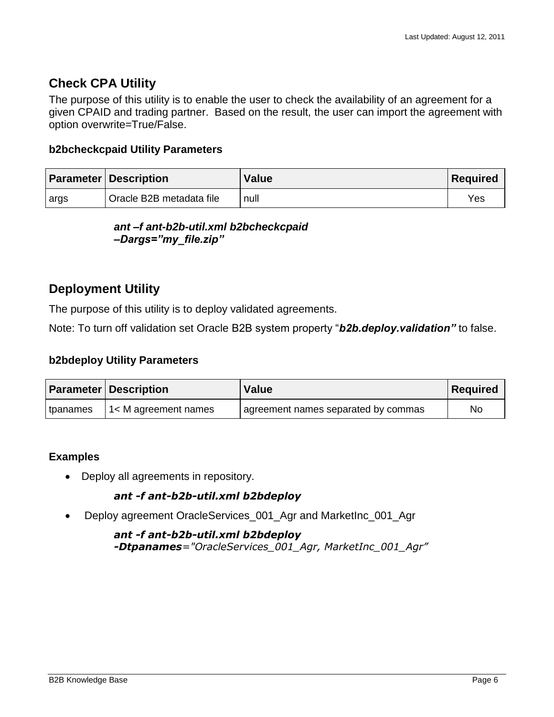## <span id="page-5-0"></span>**Check CPA Utility**

The purpose of this utility is to enable the user to check the availability of an agreement for a given CPAID and trading partner. Based on the result, the user can import the agreement with option overwrite=True/False.

#### **b2bcheckcpaid Utility Parameters**

|      | <b>Parameter Description</b> | <b>Value</b> | <b>Required</b> |
|------|------------------------------|--------------|-----------------|
| args | Oracle B2B metadata file     | null         | Yes             |

*ant –f ant-b2b-util.xml b2bcheckcpaid –Dargs="my\_file.zip"*

## <span id="page-5-1"></span>**Deployment Utility**

The purpose of this utility is to deploy validated agreements.

Note: To turn off validation set Oracle B2B system property "*b2b.deploy.validation"* to false.

#### **b2bdeploy Utility Parameters**

|          | <b>Parameter   Description</b> | <b>Value</b>                        | Required |
|----------|--------------------------------|-------------------------------------|----------|
| tpanames | 11< M agreement names          | agreement names separated by commas | No       |

#### **Examples**

• Deploy all agreements in repository.

### *ant -f ant-b2b-util.xml b2bdeploy*

Deploy agreement OracleServices\_001\_Agr and MarketInc\_001\_Agr

*ant -f ant-b2b-util.xml b2bdeploy -Dtpanames="OracleServices\_001\_Agr, MarketInc\_001\_Agr"*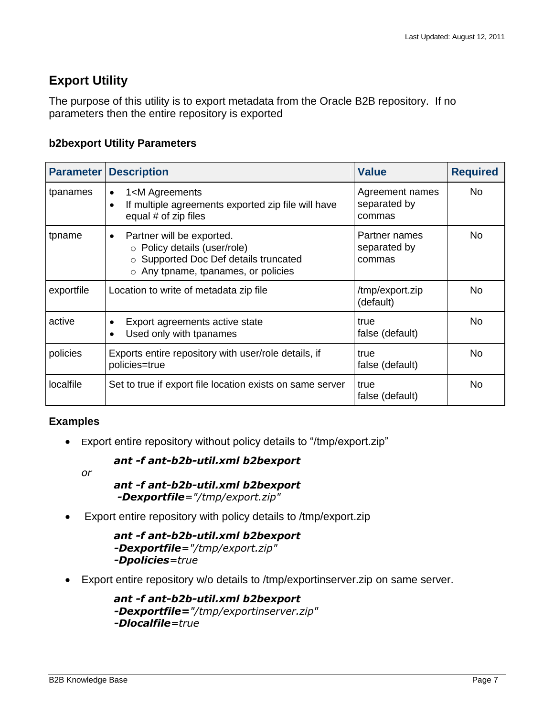## <span id="page-6-0"></span>**Export Utility**

The purpose of this utility is to export metadata from the Oracle B2B repository. If no parameters then the entire repository is exported

#### **b2bexport Utility Parameters**

| <b>Parameter</b> | <b>Description</b>                                                                                                                                                       | <b>Value</b>                              | <b>Required</b> |
|------------------|--------------------------------------------------------------------------------------------------------------------------------------------------------------------------|-------------------------------------------|-----------------|
| tpanames         | 1 <m agreements<br=""><math>\bullet</math><br/>If multiple agreements exported zip file will have<br/><math display="inline">\bullet</math><br/>equal # of zip files</m> | Agreement names<br>separated by<br>commas | No.             |
| tpname           | Partner will be exported.<br>$\bullet$<br>o Policy details (user/role)<br>o Supported Doc Def details truncated<br>$\circ$ Any tpname, tpanames, or policies             | Partner names<br>separated by<br>commas   | No.             |
| exportfile       | Location to write of metadata zip file                                                                                                                                   | /tmp/export.zip<br>(default)              | No.             |
| active           | Export agreements active state<br>$\bullet$<br>Used only with tpanames                                                                                                   | true<br>false (default)                   | No.             |
| policies         | Exports entire repository with user/role details, if<br>policies=true                                                                                                    | true<br>false (default)                   | <b>No</b>       |
| localfile        | Set to true if export file location exists on same server                                                                                                                | true<br>false (default)                   | <b>No</b>       |

### **Examples**

Export entire repository without policy details to "/tmp/export.zip"

#### *ant -f ant-b2b-util.xml b2bexport*

*or*

```
ant -f ant-b2b-util.xml b2bexport
-Dexportfile="/tmp/export.zip"
```
Export entire repository with policy details to /tmp/export.zip

```
ant -f ant-b2b-util.xml b2bexport 
-Dexportfile="/tmp/export.zip"
-Dpolicies=true
```
Export entire repository w/o details to /tmp/exportinserver.zip on same server.

```
ant -f ant-b2b-util.xml b2bexport 
-Dexportfile="/tmp/exportinserver.zip" 
-Dlocalfile=true
```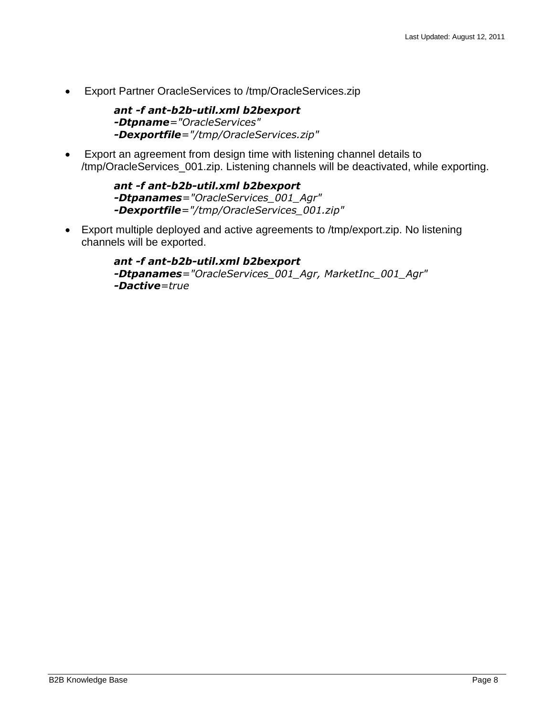Export Partner OracleServices to /tmp/OracleServices.zip

*ant -f ant-b2b-util.xml b2bexport -Dtpname="OracleServices" -Dexportfile="/tmp/OracleServices.zip"*

 Export an agreement from design time with listening channel details to /tmp/OracleServices\_001.zip. Listening channels will be deactivated, while exporting.

> *ant -f ant-b2b-util.xml b2bexport -Dtpanames="OracleServices\_001\_Agr" -Dexportfile="/tmp/OracleServices\_001.zip"*

 Export multiple deployed and active agreements to /tmp/export.zip. No listening channels will be exported.

> *ant -f ant-b2b-util.xml b2bexport -Dtpanames="OracleServices\_001\_Agr, MarketInc\_001\_Agr" -Dactive=true*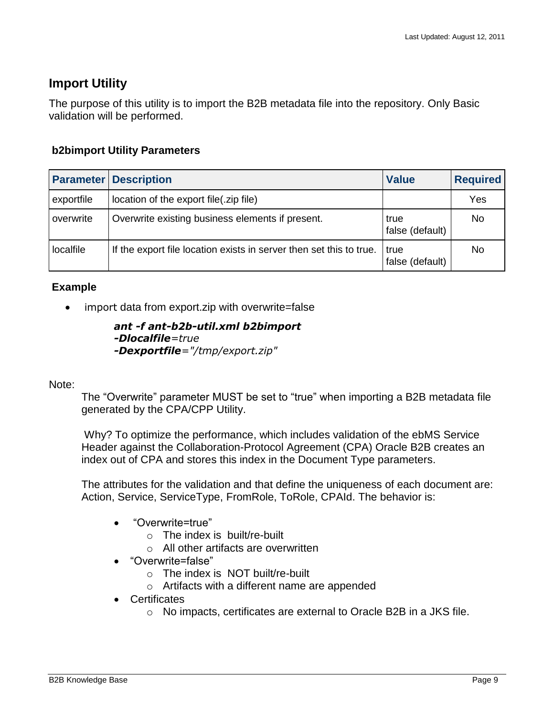## <span id="page-8-0"></span>**Import Utility**

The purpose of this utility is to import the B2B metadata file into the repository. Only Basic validation will be performed.

## **b2bimport Utility Parameters**

|            | <b>Parameter Description</b>                                        | <b>Value</b>            | <b>Required</b> |
|------------|---------------------------------------------------------------------|-------------------------|-----------------|
| exportfile | location of the export file(.zip file)                              |                         | Yes             |
| overwrite  | Overwrite existing business elements if present.                    | true<br>false (default) | No              |
| localfile  | If the export file location exists in server then set this to true. | true<br>false (default) | No              |

## **Example**

• import data from export.zip with overwrite=false

*ant -f ant-b2b-util.xml b2bimport -Dlocalfile=true -Dexportfile="/tmp/export.zip"*

Note:

The "Overwrite" parameter MUST be set to "true" when importing a B2B metadata file generated by the CPA/CPP Utility.

Why? To optimize the performance, which includes validation of the ebMS Service Header against the Collaboration-Protocol Agreement (CPA) Oracle B2B creates an index out of CPA and stores this index in the Document Type parameters.

The attributes for the validation and that define the uniqueness of each document are: Action, Service, ServiceType, FromRole, ToRole, CPAId. The behavior is:

- "Overwrite=true"
	- o The index is built/re-built
	- o All other artifacts are overwritten
- "Overwrite=false"
	- $\circ$  The index is NOT built/re-built
	- o Artifacts with a different name are appended
- Certificates
	- o No impacts, certificates are external to Oracle B2B in a JKS file.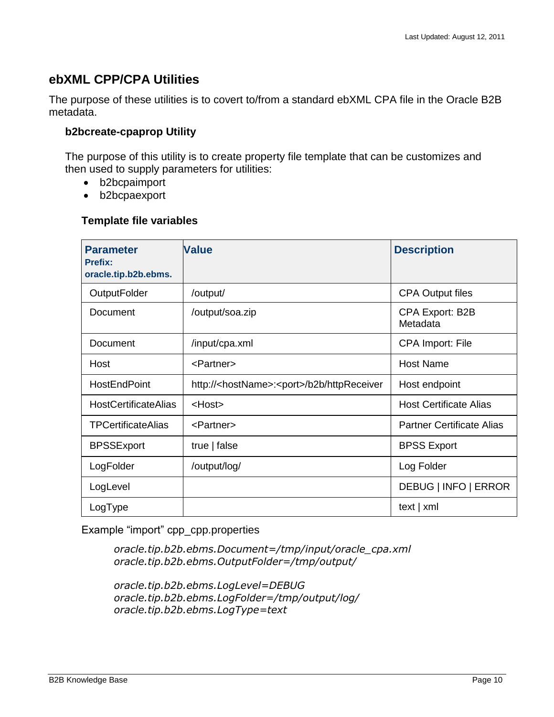## <span id="page-9-0"></span>**ebXML CPP/CPA Utilities**

The purpose of these utilities is to covert to/from a standard ebXML CPA file in the Oracle B2B metadata.

#### **b2bcreate-cpaprop Utility**

The purpose of this utility is to create property file template that can be customizes and then used to supply parameters for utilities:

- b2bcpaimport
- b2bcpaexport

#### **Template file variables**

| <b>Parameter</b><br>Prefix:<br>oracle.tip.b2b.ebms. | <b>Value</b>                                                 | <b>Description</b>                 |
|-----------------------------------------------------|--------------------------------------------------------------|------------------------------------|
| <b>OutputFolder</b>                                 | /output/                                                     | <b>CPA Output files</b>            |
| Document                                            | /output/soa.zip                                              | <b>CPA Export: B2B</b><br>Metadata |
| Document                                            | /input/cpa.xml                                               | <b>CPA Import: File</b>            |
| Host                                                | <partner></partner>                                          | <b>Host Name</b>                   |
| <b>HostEndPoint</b>                                 | http:// <hostname>:<port>/b2b/httpReceiver</port></hostname> | Host endpoint                      |
| <b>HostCertificateAlias</b>                         | $<$ Host $>$                                                 | <b>Host Certificate Alias</b>      |
| <b>TPCertificateAlias</b>                           | <partner></partner>                                          | <b>Partner Certificate Alias</b>   |
| <b>BPSSExport</b>                                   | true $ $ false                                               | <b>BPSS Export</b>                 |
| LogFolder                                           | /output/log/                                                 | Log Folder                         |
| LogLevel                                            |                                                              | DEBUG   INFO   ERROR               |
| LogType                                             |                                                              | text   xml                         |

Example "import" cpp\_cpp.properties

*oracle.tip.b2b.ebms.Document=/tmp/input/oracle\_cpa.xml oracle.tip.b2b.ebms.OutputFolder=/tmp/output/*

*oracle.tip.b2b.ebms.LogLevel=DEBUG oracle.tip.b2b.ebms.LogFolder=/tmp/output/log/ oracle.tip.b2b.ebms.LogType=text*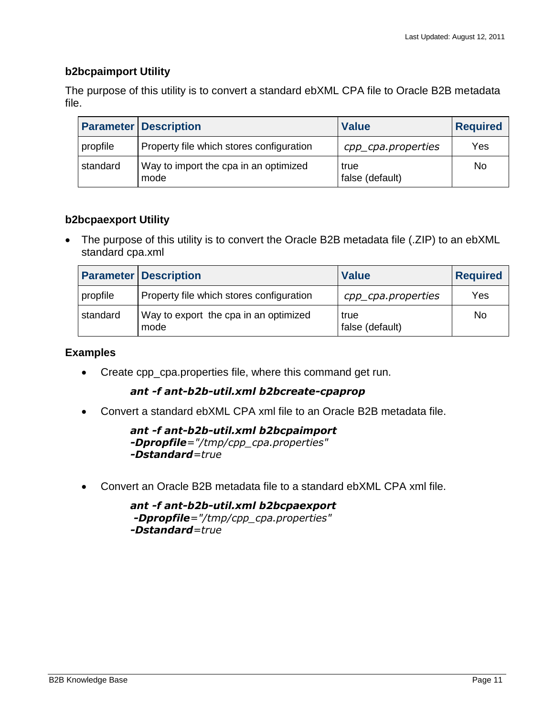#### **b2bcpaimport Utility**

The purpose of this utility is to convert a standard ebXML CPA file to Oracle B2B metadata file.

|          | <b>Parameter Description</b>                  | <b>Value</b>            | <b>Required</b> |
|----------|-----------------------------------------------|-------------------------|-----------------|
| propfile | Property file which stores configuration      | cpp_cpa.properties      | Yes             |
| standard | Way to import the cpa in an optimized<br>mode | true<br>false (default) | No              |

### **b2bcpaexport Utility**

• The purpose of this utility is to convert the Oracle B2B metadata file (.ZIP) to an ebXML standard cpa.xml

|          | <b>Parameter Description</b>                  | <b>Value</b>            | <b>Required</b> |
|----------|-----------------------------------------------|-------------------------|-----------------|
| propfile | Property file which stores configuration      | cpp_cpa.properties      | Yes             |
| standard | Way to export the cpa in an optimized<br>mode | true<br>false (default) | No              |

#### **Examples**

Create cpp\_cpa.properties file, where this command get run.

#### *ant -f ant-b2b-util.xml b2bcreate-cpaprop*

Convert a standard ebXML CPA xml file to an Oracle B2B metadata file.

*ant -f ant-b2b-util.xml b2bcpaimport -Dpropfile="/tmp/cpp\_cpa.properties" -Dstandard=true*

Convert an Oracle B2B metadata file to a standard ebXML CPA xml file.

*ant -f ant-b2b-util.xml b2bcpaexport -Dpropfile="/tmp/cpp\_cpa.properties" -Dstandard=true*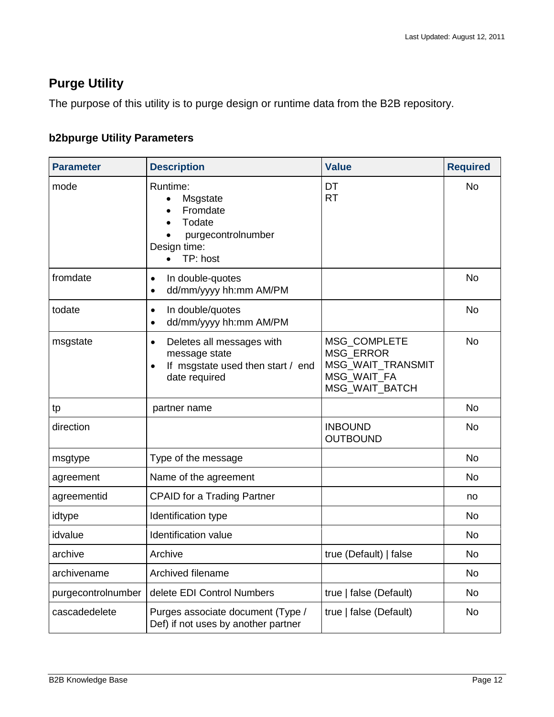# <span id="page-11-0"></span>**Purge Utility**

The purpose of this utility is to purge design or runtime data from the B2B repository.

## **b2bpurge Utility Parameters**

| <b>Parameter</b>   | <b>Description</b>                                                                                    | <b>Value</b>                                                                           | <b>Required</b> |
|--------------------|-------------------------------------------------------------------------------------------------------|----------------------------------------------------------------------------------------|-----------------|
| mode               | Runtime:<br>Msgstate<br>Fromdate<br>Todate<br>purgecontrolnumber<br>Design time:<br>TP: host          | DT<br><b>RT</b>                                                                        | <b>No</b>       |
| fromdate           | In double-quotes<br>$\bullet$<br>dd/mm/yyyy hh:mm AM/PM<br>$\bullet$                                  |                                                                                        | <b>No</b>       |
| todate             | In double/quotes<br>$\bullet$<br>dd/mm/yyyy hh:mm AM/PM<br>$\bullet$                                  |                                                                                        | <b>No</b>       |
| msgstate           | Deletes all messages with<br>٠<br>message state<br>If msgstate used then start / end<br>date required | MSG_COMPLETE<br><b>MSG ERROR</b><br>MSG_WAIT_TRANSMIT<br>MSG_WAIT_FA<br>MSG_WAIT_BATCH | <b>No</b>       |
| tp                 | partner name                                                                                          |                                                                                        | <b>No</b>       |
| direction          |                                                                                                       | <b>INBOUND</b><br><b>OUTBOUND</b>                                                      | <b>No</b>       |
| msgtype            | Type of the message                                                                                   |                                                                                        | <b>No</b>       |
| agreement          | Name of the agreement                                                                                 |                                                                                        | No              |
| agreementid        | <b>CPAID for a Trading Partner</b>                                                                    |                                                                                        | no              |
| idtype             | Identification type                                                                                   |                                                                                        | <b>No</b>       |
| idvalue            | <b>Identification value</b>                                                                           |                                                                                        | <b>No</b>       |
| archive            | Archive                                                                                               | true (Default)   false                                                                 | <b>No</b>       |
| archivename        | Archived filename                                                                                     |                                                                                        | No              |
| purgecontrolnumber | delete EDI Control Numbers                                                                            | true   false (Default)                                                                 | No              |
| cascadedelete      | Purges associate document (Type /<br>Def) if not uses by another partner                              | true   false (Default)                                                                 | No              |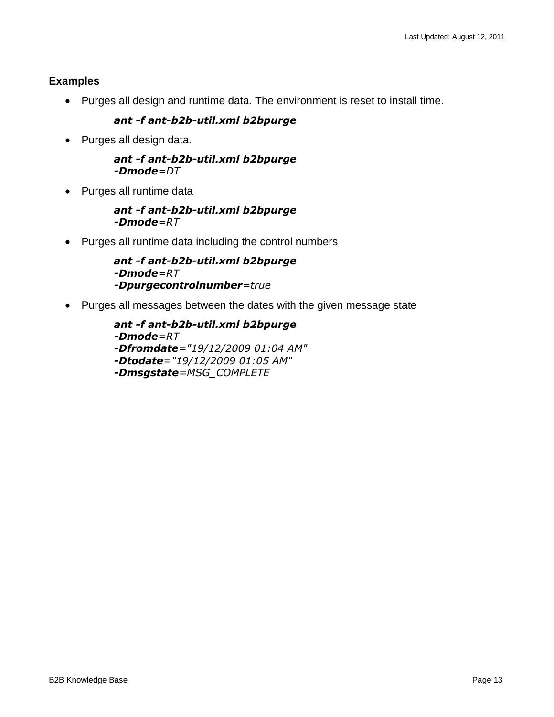## **Examples**

Purges all design and runtime data. The environment is reset to install time.

## *ant -f ant-b2b-util.xml b2bpurge*

• Purges all design data.

#### *ant -f ant-b2b-util.xml b2bpurge -Dmode=DT*

• Purges all runtime data

#### *ant -f ant-b2b-util.xml b2bpurge -Dmode=RT*

Purges all runtime data including the control numbers

```
ant -f ant-b2b-util.xml b2bpurge 
-Dmode=RT
-Dpurgecontrolnumber=true
```
• Purges all messages between the dates with the given message state

```
ant -f ant-b2b-util.xml b2bpurge 
-Dmode=RT 
-Dfromdate="19/12/2009 01:04 AM" 
-Dtodate="19/12/2009 01:05 AM" 
-Dmsgstate=MSG_COMPLETE
```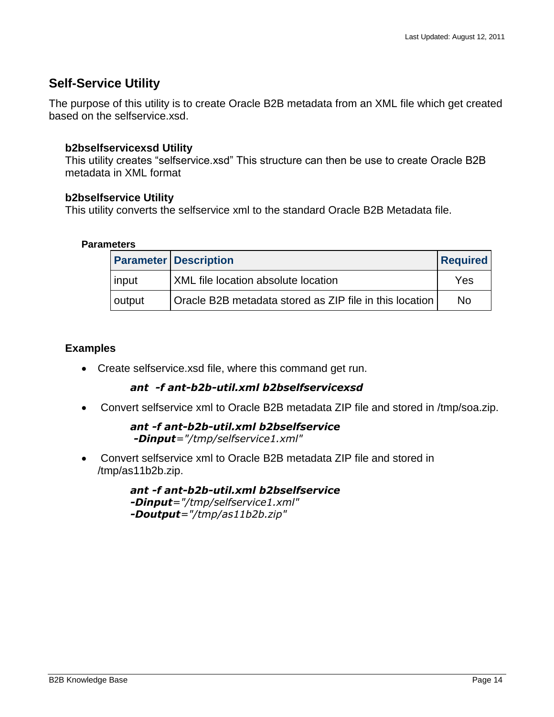## <span id="page-13-0"></span>**Self-Service Utility**

The purpose of this utility is to create Oracle B2B metadata from an XML file which get created based on the selfservice.xsd.

## **b2bselfservicexsd Utility**

This utility creates "selfservice.xsd" This structure can then be use to create Oracle B2B metadata in XML format

### **b2bselfservice Utility**

This utility converts the selfservice xml to the standard Oracle B2B Metadata file.

#### **Parameters**

|        | <b>Parameter Description</b>                            | <b>Required</b> |
|--------|---------------------------------------------------------|-----------------|
| input  | <b>XML</b> file location absolute location              | Yes             |
| output | Oracle B2B metadata stored as ZIP file in this location | No.             |

### **Examples**

Create selfservice.xsd file, where this command get run.

### *ant -f ant-b2b-util.xml b2bselfservicexsd*

Convert selfservice xml to Oracle B2B metadata ZIP file and stored in /tmp/soa.zip.

*ant -f ant-b2b-util.xml b2bselfservice -Dinput="/tmp/selfservice1.xml"*

 Convert selfservice xml to Oracle B2B metadata ZIP file and stored in /tmp/as11b2b.zip.

> *ant -f ant-b2b-util.xml b2bselfservice -Dinput="/tmp/selfservice1.xml" -Doutput="/tmp/as11b2b.zip"*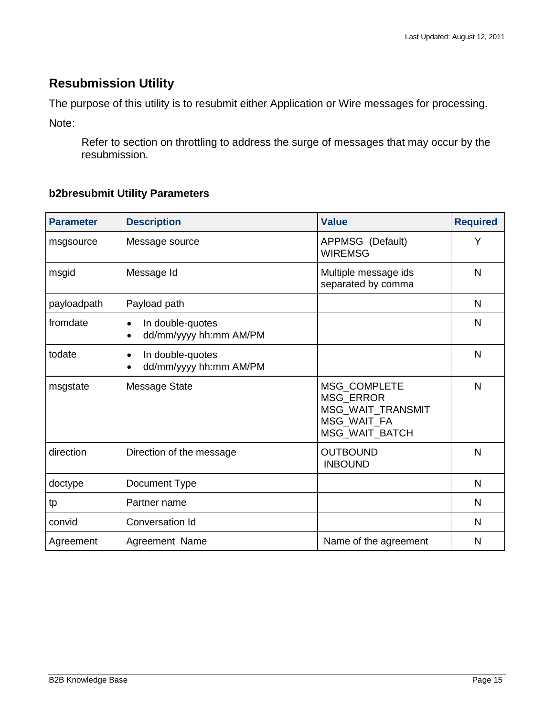## <span id="page-14-0"></span>**Resubmission Utility**

The purpose of this utility is to resubmit either Application or Wire messages for processing.

Note:

Refer to section on throttling to address the surge of messages that may occur by the resubmission.

## **b2bresubmit Utility Parameters**

| <b>Parameter</b> | <b>Description</b>                                      | <b>Value</b>                                                                           | <b>Required</b> |
|------------------|---------------------------------------------------------|----------------------------------------------------------------------------------------|-----------------|
| msgsource        | Message source                                          | APPMSG (Default)<br><b>WIREMSG</b>                                                     | Υ               |
| msgid            | Message Id                                              | Multiple message ids<br>separated by comma                                             | N               |
| payloadpath      | Payload path                                            |                                                                                        | N               |
| fromdate         | In double-quotes<br>$\bullet$<br>dd/mm/yyyy hh:mm AM/PM |                                                                                        | N               |
| todate           | In double-quotes<br>$\bullet$<br>dd/mm/yyyy hh:mm AM/PM |                                                                                        | N               |
| msgstate         | <b>Message State</b>                                    | MSG_COMPLETE<br><b>MSG ERROR</b><br>MSG_WAIT_TRANSMIT<br>MSG_WAIT_FA<br>MSG_WAIT_BATCH | N               |
| direction        | Direction of the message                                | <b>OUTBOUND</b><br><b>INBOUND</b>                                                      | $\mathsf{N}$    |
| doctype          | Document Type                                           |                                                                                        | N               |
| tp               | Partner name                                            |                                                                                        | N               |
| convid           | Conversation Id                                         |                                                                                        | N               |
| Agreement        | Agreement Name                                          | Name of the agreement                                                                  | N               |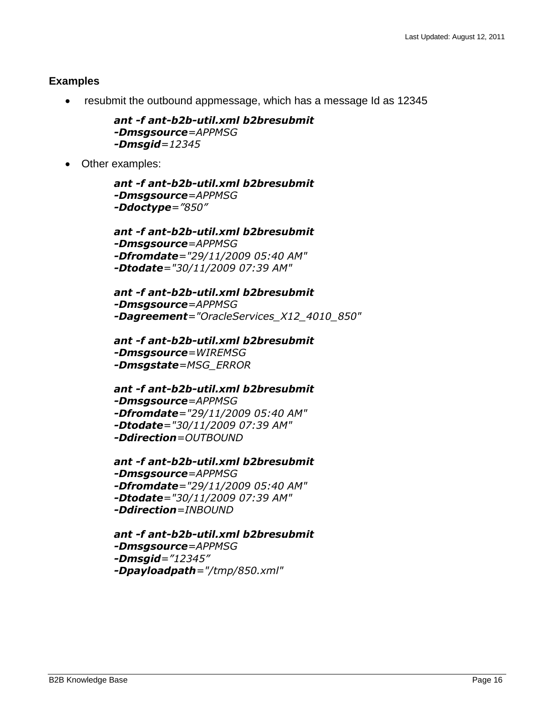### **Examples**

resubmit the outbound appmessage, which has a message Id as 12345

```
ant -f ant-b2b-util.xml b2bresubmit 
-Dmsgsource=APPMSG
-Dmsgid=12345
```
Other examples:

*ant -f ant-b2b-util.xml b2bresubmit -Dmsgsource=APPMSG -Ddoctype="850"*

*ant -f ant-b2b-util.xml b2bresubmit -Dmsgsource=APPMSG -Dfromdate="29/11/2009 05:40 AM" -Dtodate="30/11/2009 07:39 AM"*

```
ant -f ant-b2b-util.xml b2bresubmit 
-Dmsgsource=APPMSG 
-Dagreement="OracleServices_X12_4010_850"
```

```
ant -f ant-b2b-util.xml b2bresubmit 
-Dmsgsource=WIREMSG
-Dmsgstate=MSG_ERROR
```

```
ant -f ant-b2b-util.xml b2bresubmit 
-Dmsgsource=APPMSG 
-Dfromdate="29/11/2009 05:40 AM" 
-Dtodate="30/11/2009 07:39 AM" 
-Ddirection=OUTBOUND
```

```
ant -f ant-b2b-util.xml b2bresubmit 
-Dmsgsource=APPMSG 
-Dfromdate="29/11/2009 05:40 AM" 
-Dtodate="30/11/2009 07:39 AM"
-Ddirection=INBOUND
```

```
ant -f ant-b2b-util.xml b2bresubmit 
-Dmsgsource=APPMSG 
-Dmsgid="12345"
-Dpayloadpath="/tmp/850.xml"
```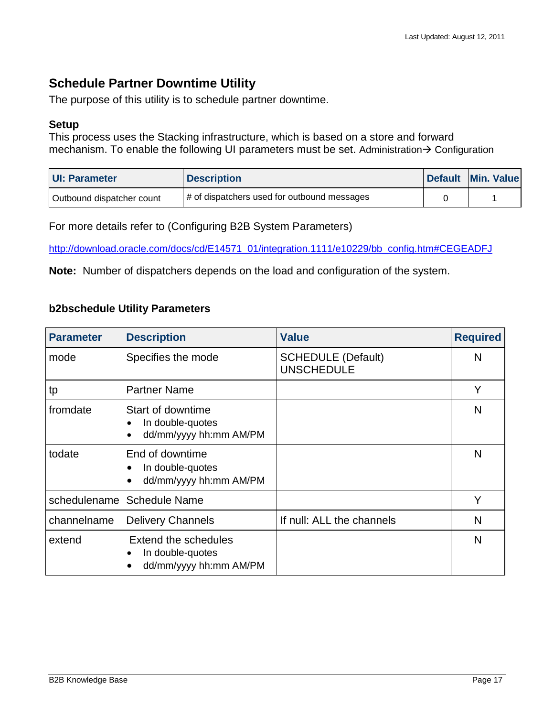## <span id="page-16-0"></span>**Schedule Partner Downtime Utility**

The purpose of this utility is to schedule partner downtime.

#### **Setup**

This process uses the Stacking infrastructure, which is based on a store and forward mechanism. To enable the following UI parameters must be set. Administration  $\rightarrow$  Configuration

| <b>UI: Parameter</b>      | <b>Description</b>                          | Default Min. Value |
|---------------------------|---------------------------------------------|--------------------|
| Outbound dispatcher count | # of dispatchers used for outbound messages |                    |

For more details refer to (Configuring B2B System Parameters)

[http://download.oracle.com/docs/cd/E14571\\_01/integration.1111/e10229/bb\\_config.htm#CEGEADFJ](http://download.oracle.com/docs/cd/E14571_01/integration.1111/e10229/bb_config.htm#CEGEADFJ)

**Note:** Number of dispatchers depends on the load and configuration of the system.

#### **b2bschedule Utility Parameters**

| <b>Parameter</b> | <b>Description</b>                                                      | <b>Value</b>                                   | <b>Required</b> |
|------------------|-------------------------------------------------------------------------|------------------------------------------------|-----------------|
| mode             | Specifies the mode                                                      | <b>SCHEDULE (Default)</b><br><b>UNSCHEDULE</b> | N               |
| tp               | <b>Partner Name</b>                                                     |                                                | Y               |
| fromdate         | Start of downtime<br>In double-quotes<br>dd/mm/yyyy hh:mm AM/PM         |                                                | N               |
| todate           | End of downtime<br>In double-quotes<br>dd/mm/yyyy hh:mm AM/PM           |                                                | N               |
| schedulename     | <b>Schedule Name</b>                                                    |                                                | Y               |
| channelname      | <b>Delivery Channels</b>                                                | If null: ALL the channels                      | N               |
| extend           | Extend the schedules<br>In double-quotes<br>٠<br>dd/mm/yyyy hh:mm AM/PM |                                                | N               |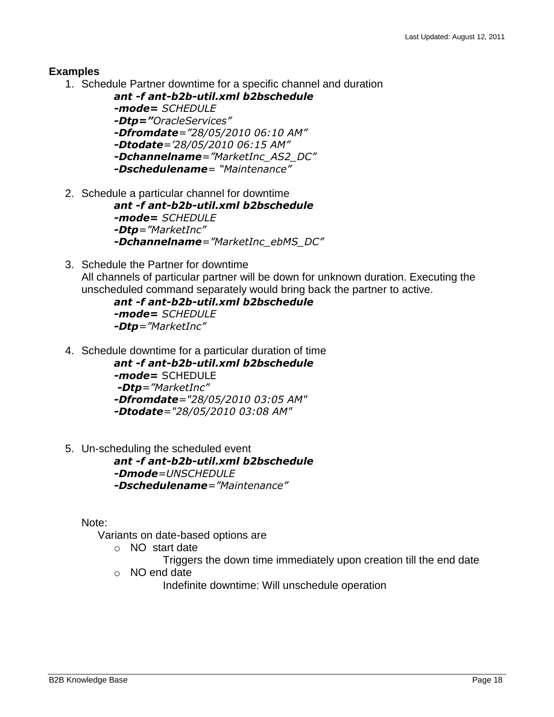#### **Examples**

1. Schedule Partner downtime for a specific channel and duration

```
ant -f ant-b2b-util.xml b2bschedule 
-mode= SCHEDULE 
-Dtp="OracleServices"
-Dfromdate="28/05/2010 06:10 AM"
-Dtodate='28/05/2010 06:15 AM"
-Dchannelname="MarketInc_AS2_DC"
-Dschedulename= "Maintenance"
```
- 2. Schedule a particular channel for downtime *ant -f ant-b2b-util.xml b2bschedule -mode= SCHEDULE -Dtp="MarketInc" -Dchannelname="MarketInc\_ebMS\_DC"*
- 3. Schedule the Partner for downtime All channels of particular partner will be down for unknown duration. Executing the unscheduled command separately would bring back the partner to active.

```
ant -f ant-b2b-util.xml b2bschedule 
-mode= SCHEDULE
-Dtp="MarketInc"
```
4. Schedule downtime for a particular duration of time

*ant -f ant-b2b-util.xml b2bschedule -mode=* SCHEDULE *-Dtp="MarketInc" -Dfromdate="28/05/2010 03:05 AM" -Dtodate="28/05/2010 03:08 AM"*

5. Un-scheduling the scheduled event *ant -f ant-b2b-util.xml b2bschedule -Dmode=UNSCHEDULE -Dschedulename="Maintenance"*

Note:

- Variants on date-based options are
	- o NO start date
		- Triggers the down time immediately upon creation till the end date
	- o NO end date

Indefinite downtime: Will unschedule operation